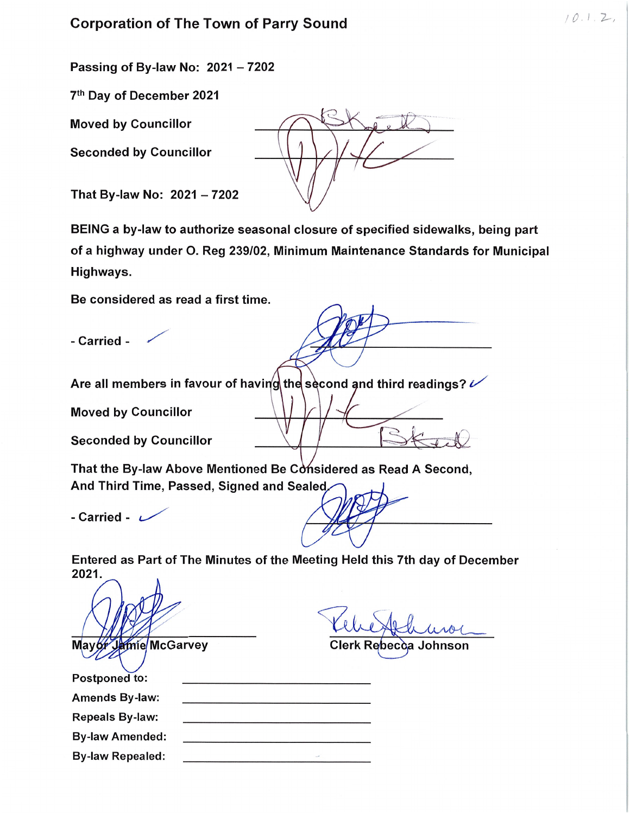Corporation of The Town of Parry Sound 10. <sup>l</sup> 2--/

Passing of By-law No:  $2021 - 7202$ 

7th Day of December 2021

**Moved by Councillor** 

Seconded by Councillor

That By-law No:  $2021 - 7202$ 

BEING a by-law to authorize seasonal closure of specified sidewalks, being part of a highway under O. Reg 239/02, Minimum Maintenance Standards for Municipal Highways.

Be considered as read a first time.

- Carried -

Are all members in favour of having the second and third readings?  $\nu$ 

Moved by Councillor

Seconded by Councillor

That the By-law Above Mentioned Be Considered as Read A Second, And Third Time, Passed, Signed and Sealed^,

- Carried -  $\sim$ 

Entered as Part of The Minutes of the Meeting Held this 7th day of December 2021.

mie/McGarvey

## Clerk Rebecca Johnson

| <b>Postponed to:</b>    |  |
|-------------------------|--|
| <b>Amends By-law:</b>   |  |
| <b>Repeals By-law:</b>  |  |
| <b>By-law Amended:</b>  |  |
| <b>By-law Repealed:</b> |  |
|                         |  |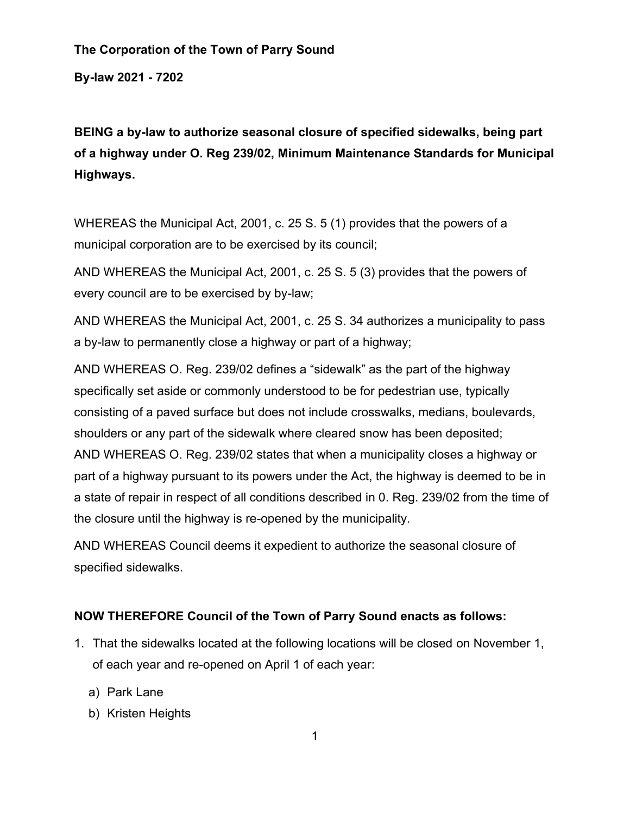## **The Corporation of the Town of Parry Sound**

**By-law 2021 - 7202** 

**BEING a by-law to authorize seasonal closure of specified sidewalks, being part of a highway under O. Reg 239/02, Minimum Maintenance Standards for Municipal Highways.**

WHEREAS the Municipal Act, 2001, c. 25 S. 5 (1) provides that the powers of a municipal corporation are to be exercised by its council;

AND WHEREAS the Municipal Act, 2001, c. 25 S. 5 (3) provides that the powers of every council are to be exercised by by-law;

AND WHEREAS the Municipal Act, 2001, c. 25 S. 34 authorizes a municipality to pass a by-law to permanently close a highway or part of a highway;

AND WHEREAS O. Reg. 239/02 defines a "sidewalk" as the part of the highway specifically set aside or commonly understood to be for pedestrian use, typically consisting of a paved surface but does not include crosswalks, medians, boulevards, shoulders or any part of the sidewalk where cleared snow has been deposited; AND WHEREAS O. Reg. 239/02 states that when a municipality closes a highway or part of a highway pursuant to its powers under the Act, the highway is deemed to be in a state of repair in respect of all conditions described in 0. Reg. 239/02 from the time of the closure until the highway is re-opened by the municipality.

AND WHEREAS Council deems it expedient to authorize the seasonal closure of specified sidewalks.

## **NOW THEREFORE Council of the Town of Parry Sound enacts as follows:**

- 1. That the sidewalks located at the following locations will be closed on November 1, of each year and re-opened on April 1 of each year:
	- a) Park Lane
	- b) Kristen Heights